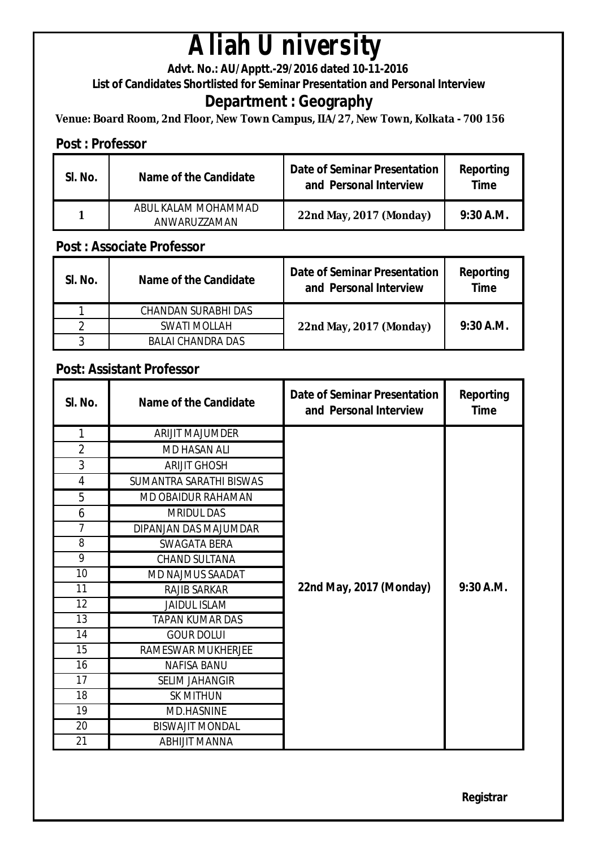# **Aliah University**

**Advt. No.: AU/Apptt.-29/2016 dated 10-11-2016** 

**List of Candidates Shortlisted for Seminar Presentation and Personal Interview**

## **Department : Geography**

**Venue: Board Room, 2nd Floor, New Town Campus, IIA/27, New Town, Kolkata - 700 156**

### **Post : Professor**

| SI. No. | Name of the Candidate               | <b>Date of Seminar Presentation</b><br>and Personal Interview | Reporting<br>Time |
|---------|-------------------------------------|---------------------------------------------------------------|-------------------|
|         | ARUL KALAM MOHAMMAD<br>ANWARUZZAMAN | 22nd May, 2017 (Monday)                                       | $9:30$ A.M.       |

#### **Post : Associate Professor**

| SI. No. | Name of the Candidate | Date of Seminar Presentation<br>and Personal Interview | Reporting<br><b>Time</b> |
|---------|-----------------------|--------------------------------------------------------|--------------------------|
|         | CHANDAN SURABHI DAS   |                                                        |                          |
|         | SWATI MOLLAH          | 22nd May, 2017 (Monday)                                | $9:30$ A.M.              |
|         | BALAI CHANDRA DAS     |                                                        |                          |

### **Post: Assistant Professor**

| SI. No.        | <b>Name of the Candidate</b> | <b>Date of Seminar Presentation</b><br>and Personal Interview | <b>Reporting</b><br><b>Time</b> |
|----------------|------------------------------|---------------------------------------------------------------|---------------------------------|
| $\mathbf{1}$   | <b>ARIJIT MAJUMDER</b>       |                                                               |                                 |
| $\overline{2}$ | <b>MD HASAN ALI</b>          |                                                               |                                 |
| 3              | <b>ARIJIT GHOSH</b>          |                                                               |                                 |
| 4              | SUMANTRA SARATHI BISWAS      |                                                               |                                 |
| 5              | <b>MD OBAIDUR RAHAMAN</b>    |                                                               |                                 |
| 6              | <b>MRIDUL DAS</b>            |                                                               |                                 |
| 7              | DIPANJAN DAS MAJUMDAR        |                                                               |                                 |
| 8              | SWAGATA BERA                 |                                                               |                                 |
| 9              | <b>CHAND SULTANA</b>         |                                                               |                                 |
| 10             | <b>MD NAJMUS SAADAT</b>      |                                                               |                                 |
| 11             | <b>RAJIB SARKAR</b>          | 22nd May, 2017 (Monday)                                       | $9:30$ A.M.                     |
| 12             | <b>JAIDUL ISLAM</b>          |                                                               |                                 |
| 13             | TAPAN KUMAR DAS              |                                                               |                                 |
| 14             | <b>GOUR DOLUI</b>            |                                                               |                                 |
| 15             | RAMESWAR MUKHERJEE           |                                                               |                                 |
| 16             | <b>NAFISA BANU</b>           |                                                               |                                 |
| 17             | <b>SELIM JAHANGIR</b>        |                                                               |                                 |
| 18             | <b>SK MITHUN</b>             |                                                               |                                 |
| 19             | <b>MD.HASNINE</b>            |                                                               |                                 |
| 20             | <b>BISWAJIT MONDAL</b>       |                                                               |                                 |
| 21             | <b>ABHIJIT MANNA</b>         |                                                               |                                 |

**Registrar**